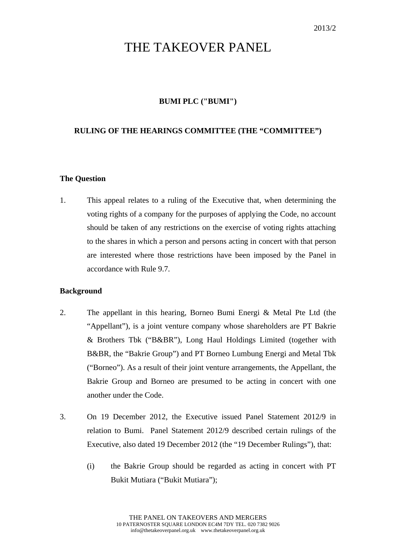# THE TAKEOVER PANEL

### **BUMI PLC ("BUMI")**

#### **RULING OF THE HEARINGS COMMITTEE (THE "COMMITTEE")**

#### **The Question**

1. This appeal relates to a ruling of the Executive that, when determining the voting rights of a company for the purposes of applying the Code, no account should be taken of any restrictions on the exercise of voting rights attaching to the shares in which a person and persons acting in concert with that person are interested where those restrictions have been imposed by the Panel in accordance with Rule 9.7.

#### **Background**

- 2. The appellant in this hearing, Borneo Bumi Energi & Metal Pte Ltd (the "Appellant"), is a joint venture company whose shareholders are PT Bakrie & Brothers Tbk ("B&BR"), Long Haul Holdings Limited (together with B&BR, the "Bakrie Group") and PT Borneo Lumbung Energi and Metal Tbk ("Borneo"). As a result of their joint venture arrangements, the Appellant, the Bakrie Group and Borneo are presumed to be acting in concert with one another under the Code.
- 3. On 19 December 2012, the Executive issued Panel Statement 2012/9 in relation to Bumi. Panel Statement 2012/9 described certain rulings of the Executive, also dated 19 December 2012 (the "19 December Rulings"), that:
	- (i) the Bakrie Group should be regarded as acting in concert with PT Bukit Mutiara ("Bukit Mutiara");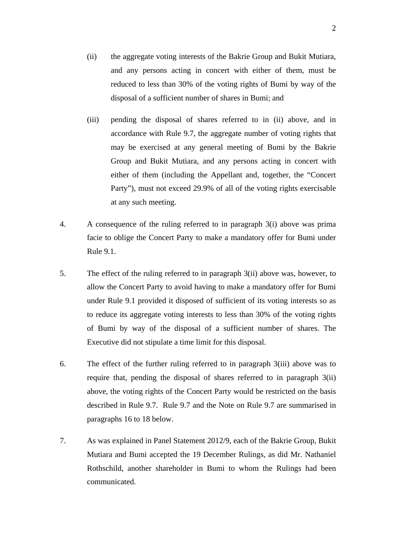- (ii) the aggregate voting interests of the Bakrie Group and Bukit Mutiara, and any persons acting in concert with either of them, must be reduced to less than 30% of the voting rights of Bumi by way of the disposal of a sufficient number of shares in Bumi; and
- (iii) pending the disposal of shares referred to in (ii) above, and in accordance with Rule 9.7, the aggregate number of voting rights that may be exercised at any general meeting of Bumi by the Bakrie Group and Bukit Mutiara, and any persons acting in concert with either of them (including the Appellant and, together, the "Concert Party"), must not exceed 29.9% of all of the voting rights exercisable at any such meeting.
- 4. A consequence of the ruling referred to in paragraph 3(i) above was prima facie to oblige the Concert Party to make a mandatory offer for Bumi under Rule 9.1.
- 5. The effect of the ruling referred to in paragraph 3(ii) above was, however, to allow the Concert Party to avoid having to make a mandatory offer for Bumi under Rule 9.1 provided it disposed of sufficient of its voting interests so as to reduce its aggregate voting interests to less than 30% of the voting rights of Bumi by way of the disposal of a sufficient number of shares. The Executive did not stipulate a time limit for this disposal.
- 6. The effect of the further ruling referred to in paragraph 3(iii) above was to require that, pending the disposal of shares referred to in paragraph 3(ii) above, the voting rights of the Concert Party would be restricted on the basis described in Rule 9.7. Rule 9.7 and the Note on Rule 9.7 are summarised in paragraphs 16 to 18 below.
- 7. As was explained in Panel Statement 2012/9, each of the Bakrie Group, Bukit Mutiara and Bumi accepted the 19 December Rulings, as did Mr. Nathaniel Rothschild, another shareholder in Bumi to whom the Rulings had been communicated.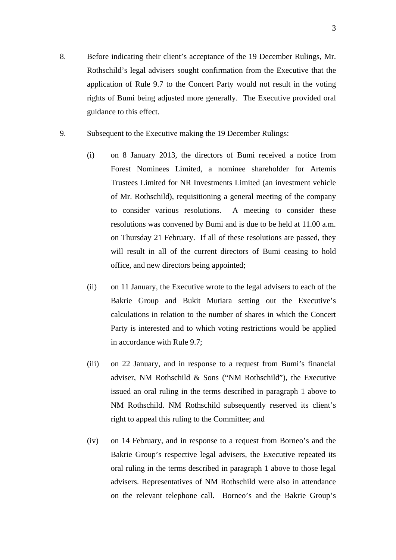- 8. Before indicating their client's acceptance of the 19 December Rulings, Mr. Rothschild's legal advisers sought confirmation from the Executive that the application of Rule 9.7 to the Concert Party would not result in the voting rights of Bumi being adjusted more generally. The Executive provided oral guidance to this effect.
- 9. Subsequent to the Executive making the 19 December Rulings:
	- (i) on 8 January 2013, the directors of Bumi received a notice from Forest Nominees Limited, a nominee shareholder for Artemis Trustees Limited for NR Investments Limited (an investment vehicle of Mr. Rothschild), requisitioning a general meeting of the company to consider various resolutions. A meeting to consider these resolutions was convened by Bumi and is due to be held at 11.00 a.m. on Thursday 21 February. If all of these resolutions are passed, they will result in all of the current directors of Bumi ceasing to hold office, and new directors being appointed;
	- (ii) on 11 January, the Executive wrote to the legal advisers to each of the Bakrie Group and Bukit Mutiara setting out the Executive's calculations in relation to the number of shares in which the Concert Party is interested and to which voting restrictions would be applied in accordance with Rule 9.7;
	- (iii) on 22 January, and in response to a request from Bumi's financial adviser, NM Rothschild & Sons ("NM Rothschild"), the Executive issued an oral ruling in the terms described in paragraph 1 above to NM Rothschild. NM Rothschild subsequently reserved its client's right to appeal this ruling to the Committee; and
	- (iv) on 14 February, and in response to a request from Borneo's and the Bakrie Group's respective legal advisers, the Executive repeated its oral ruling in the terms described in paragraph 1 above to those legal advisers. Representatives of NM Rothschild were also in attendance on the relevant telephone call. Borneo's and the Bakrie Group's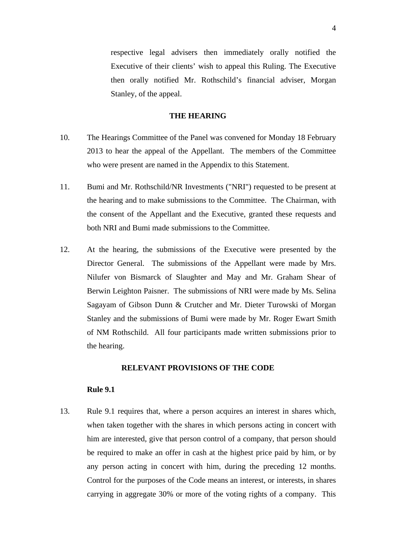respective legal advisers then immediately orally notified the Executive of their clients' wish to appeal this Ruling. The Executive then orally notified Mr. Rothschild's financial adviser, Morgan Stanley, of the appeal.

#### **THE HEARING**

- 10. The Hearings Committee of the Panel was convened for Monday 18 February 2013 to hear the appeal of the Appellant. The members of the Committee who were present are named in the Appendix to this Statement.
- 11. Bumi and Mr. Rothschild/NR Investments ("NRI") requested to be present at the hearing and to make submissions to the Committee. The Chairman, with the consent of the Appellant and the Executive, granted these requests and both NRI and Bumi made submissions to the Committee.
- 12. At the hearing, the submissions of the Executive were presented by the Director General. The submissions of the Appellant were made by Mrs. Nilufer von Bismarck of Slaughter and May and Mr. Graham Shear of Berwin Leighton Paisner. The submissions of NRI were made by Ms. Selina Sagayam of Gibson Dunn & Crutcher and Mr. Dieter Turowski of Morgan Stanley and the submissions of Bumi were made by Mr. Roger Ewart Smith of NM Rothschild. All four participants made written submissions prior to the hearing.

#### **RELEVANT PROVISIONS OF THE CODE**

#### **Rule 9.1**

13. Rule 9.1 requires that, where a person acquires an interest in shares which, when taken together with the shares in which persons acting in concert with him are interested, give that person control of a company, that person should be required to make an offer in cash at the highest price paid by him, or by any person acting in concert with him, during the preceding 12 months. Control for the purposes of the Code means an interest, or interests, in shares carrying in aggregate 30% or more of the voting rights of a company. This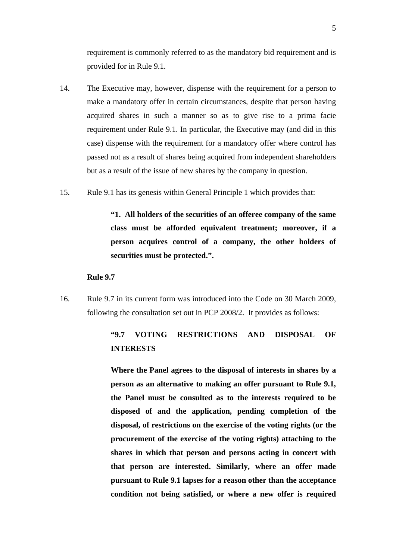requirement is commonly referred to as the mandatory bid requirement and is provided for in Rule 9.1.

- 14. The Executive may, however, dispense with the requirement for a person to make a mandatory offer in certain circumstances, despite that person having acquired shares in such a manner so as to give rise to a prima facie requirement under Rule 9.1. In particular, the Executive may (and did in this case) dispense with the requirement for a mandatory offer where control has passed not as a result of shares being acquired from independent shareholders but as a result of the issue of new shares by the company in question.
- 15. Rule 9.1 has its genesis within General Principle 1 which provides that:

 **"1. All holders of the securities of an offeree company of the same class must be afforded equivalent treatment; moreover, if a person acquires control of a company, the other holders of securities must be protected.".**

#### **Rule 9.7**

16. Rule 9.7 in its current form was introduced into the Code on 30 March 2009, following the consultation set out in PCP 2008/2. It provides as follows:

# **"9.7 VOTING RESTRICTIONS AND DISPOSAL OF INTERESTS**

 **Where the Panel agrees to the disposal of interests in shares by a person as an alternative to making an offer pursuant to Rule 9.1, the Panel must be consulted as to the interests required to be disposed of and the application, pending completion of the disposal, of restrictions on the exercise of the voting rights (or the procurement of the exercise of the voting rights) attaching to the shares in which that person and persons acting in concert with that person are interested. Similarly, where an offer made pursuant to Rule 9.1 lapses for a reason other than the acceptance condition not being satisfied, or where a new offer is required**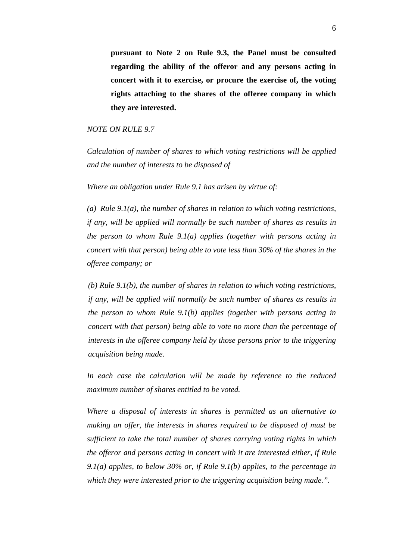**pursuant to Note 2 on Rule 9.3, the Panel must be consulted regarding the ability of the offeror and any persons acting in concert with it to exercise, or procure the exercise of, the voting rights attaching to the shares of the offeree company in which they are interested.**

#### *NOTE ON RULE 9.7*

*Calculation of number of shares to which voting restrictions will be applied and the number of interests to be disposed of* 

*Where an obligation under Rule 9.1 has arisen by virtue of:* 

*(a) Rule 9.1(a), the number of shares in relation to which voting restrictions, if any, will be applied will normally be such number of shares as results in the person to whom Rule 9.1(a) applies (together with persons acting in concert with that person) being able to vote less than 30% of the shares in the offeree company; or* 

*(b) Rule 9.1(b), the number of shares in relation to which voting restrictions, if any, will be applied will normally be such number of shares as results in the person to whom Rule 9.1(b) applies (together with persons acting in concert with that person) being able to vote no more than the percentage of interests in the offeree company held by those persons prior to the triggering acquisition being made.* 

*In each case the calculation will be made by reference to the reduced maximum number of shares entitled to be voted.* 

*Where a disposal of interests in shares is permitted as an alternative to making an offer, the interests in shares required to be disposed of must be sufficient to take the total number of shares carrying voting rights in which the offeror and persons acting in concert with it are interested either, if Rule 9.1(a) applies, to below 30% or, if Rule 9.1(b) applies, to the percentage in which they were interested prior to the triggering acquisition being made.".*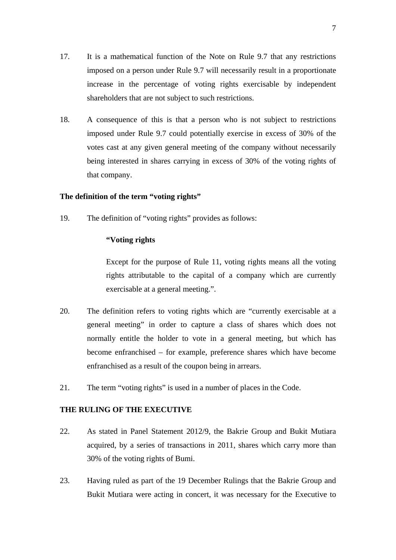- 17. It is a mathematical function of the Note on Rule 9.7 that any restrictions imposed on a person under Rule 9.7 will necessarily result in a proportionate increase in the percentage of voting rights exercisable by independent shareholders that are not subject to such restrictions.
- 18. A consequence of this is that a person who is not subject to restrictions imposed under Rule 9.7 could potentially exercise in excess of 30% of the votes cast at any given general meeting of the company without necessarily being interested in shares carrying in excess of 30% of the voting rights of that company.

#### **The definition of the term "voting rights"**

19. The definition of "voting rights" provides as follows:

#### **"Voting rights**

 Except for the purpose of Rule 11, voting rights means all the voting rights attributable to the capital of a company which are currently exercisable at a general meeting.".

- 20. The definition refers to voting rights which are "currently exercisable at a general meeting" in order to capture a class of shares which does not normally entitle the holder to vote in a general meeting, but which has become enfranchised – for example, preference shares which have become enfranchised as a result of the coupon being in arrears.
- 21. The term "voting rights" is used in a number of places in the Code.

#### **THE RULING OF THE EXECUTIVE**

- 22. As stated in Panel Statement 2012/9, the Bakrie Group and Bukit Mutiara acquired, by a series of transactions in 2011, shares which carry more than 30% of the voting rights of Bumi.
- 23. Having ruled as part of the 19 December Rulings that the Bakrie Group and Bukit Mutiara were acting in concert, it was necessary for the Executive to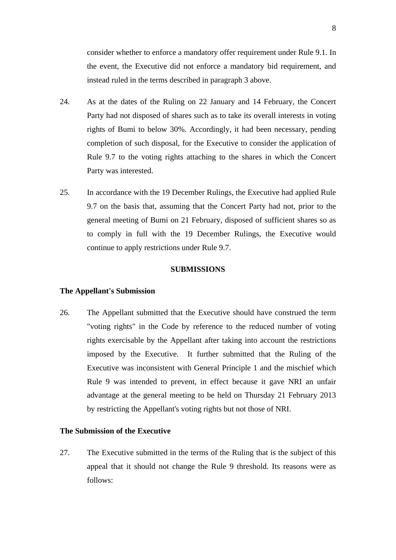consider whether to enforce a mandatory offer requirement under Rule 9.1. In the event, the Executive did not enforce a mandatory bid requirement, and instead ruled in the terms described in paragraph 3 above.

- 24. As at the dates of the Ruling on 22 January and 14 February, the Concert Party had not disposed of shares such as to take its overall interests in voting rights of Bumi to below 30%. Accordingly, it had been necessary, pending completion of such disposal, for the Executive to consider the application of Rule 9.7 to the voting rights attaching to the shares in which the Concert Party was interested.
- 25. In accordance with the 19 December Rulings, the Executive had applied Rule 9.7 on the basis that, assuming that the Concert Party had not, prior to the general meeting of Bumi on 21 February, disposed of sufficient shares so as to comply in full with the 19 December Rulings, the Executive would continue to apply restrictions under Rule 9.7.

#### **SUBMISSIONS**

#### **The Appellant's Submission**

26. The Appellant submitted that the Executive should have construed the term "voting rights" in the Code by reference to the reduced number of voting rights exercisable by the Appellant after taking into account the restrictions imposed by the Executive. It further submitted that the Ruling of the Executive was inconsistent with General Principle 1 and the mischief which Rule 9 was intended to prevent, in effect because it gave NRI an unfair advantage at the general meeting to be held on Thursday 21 February 2013 by restricting the Appellant's voting rights but not those of NRI.

#### **The Submission of the Executive**

27. The Executive submitted in the terms of the Ruling that is the subject of this appeal that it should not change the Rule 9 threshold. Its reasons were as follows: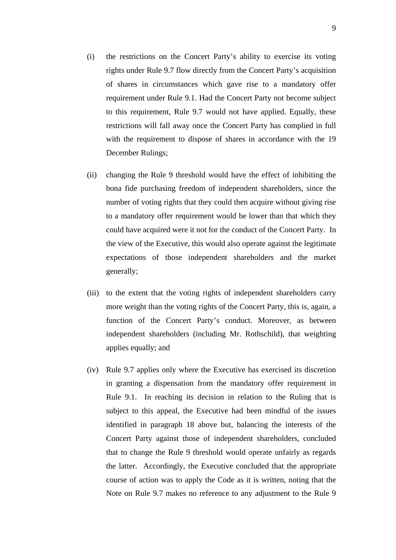- (i) the restrictions on the Concert Party's ability to exercise its voting rights under Rule 9.7 flow directly from the Concert Party's acquisition of shares in circumstances which gave rise to a mandatory offer requirement under Rule 9.1. Had the Concert Party not become subject to this requirement, Rule 9.7 would not have applied. Equally, these restrictions will fall away once the Concert Party has complied in full with the requirement to dispose of shares in accordance with the 19 December Rulings;
- (ii) changing the Rule 9 threshold would have the effect of inhibiting the bona fide purchasing freedom of independent shareholders, since the number of voting rights that they could then acquire without giving rise to a mandatory offer requirement would be lower than that which they could have acquired were it not for the conduct of the Concert Party. In the view of the Executive, this would also operate against the legitimate expectations of those independent shareholders and the market generally;
- (iii) to the extent that the voting rights of independent shareholders carry more weight than the voting rights of the Concert Party, this is, again, a function of the Concert Party's conduct. Moreover, as between independent shareholders (including Mr. Rothschild), that weighting applies equally; and
- (iv) Rule 9.7 applies only where the Executive has exercised its discretion in granting a dispensation from the mandatory offer requirement in Rule 9.1. In reaching its decision in relation to the Ruling that is subject to this appeal, the Executive had been mindful of the issues identified in paragraph 18 above but, balancing the interests of the Concert Party against those of independent shareholders, concluded that to change the Rule 9 threshold would operate unfairly as regards the latter. Accordingly, the Executive concluded that the appropriate course of action was to apply the Code as it is written, noting that the Note on Rule 9.7 makes no reference to any adjustment to the Rule 9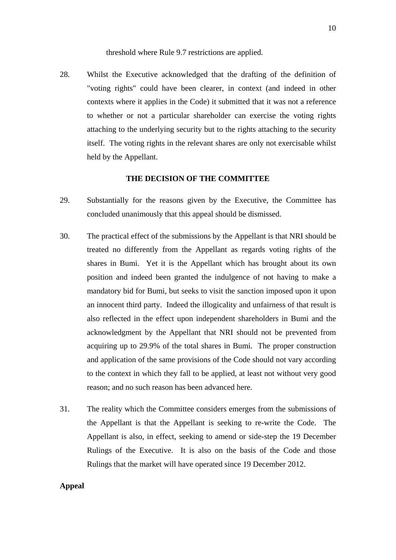threshold where Rule 9.7 restrictions are applied.

28. Whilst the Executive acknowledged that the drafting of the definition of "voting rights" could have been clearer, in context (and indeed in other contexts where it applies in the Code) it submitted that it was not a reference to whether or not a particular shareholder can exercise the voting rights attaching to the underlying security but to the rights attaching to the security itself. The voting rights in the relevant shares are only not exercisable whilst held by the Appellant.

#### **THE DECISION OF THE COMMITTEE**

- 29. Substantially for the reasons given by the Executive, the Committee has concluded unanimously that this appeal should be dismissed.
- 30. The practical effect of the submissions by the Appellant is that NRI should be treated no differently from the Appellant as regards voting rights of the shares in Bumi. Yet it is the Appellant which has brought about its own position and indeed been granted the indulgence of not having to make a mandatory bid for Bumi, but seeks to visit the sanction imposed upon it upon an innocent third party. Indeed the illogicality and unfairness of that result is also reflected in the effect upon independent shareholders in Bumi and the acknowledgment by the Appellant that NRI should not be prevented from acquiring up to 29.9% of the total shares in Bumi. The proper construction and application of the same provisions of the Code should not vary according to the context in which they fall to be applied, at least not without very good reason; and no such reason has been advanced here.
- 31. The reality which the Committee considers emerges from the submissions of the Appellant is that the Appellant is seeking to re-write the Code. The Appellant is also, in effect, seeking to amend or side-step the 19 December Rulings of the Executive. It is also on the basis of the Code and those Rulings that the market will have operated since 19 December 2012.

#### **Appeal**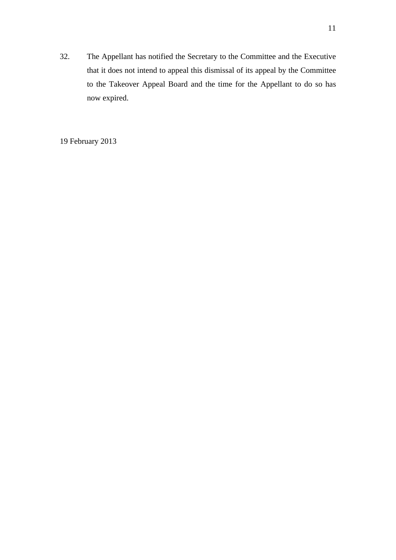32. The Appellant has notified the Secretary to the Committee and the Executive that it does not intend to appeal this dismissal of its appeal by the Committee to the Takeover Appeal Board and the time for the Appellant to do so has now expired.

19 February 2013